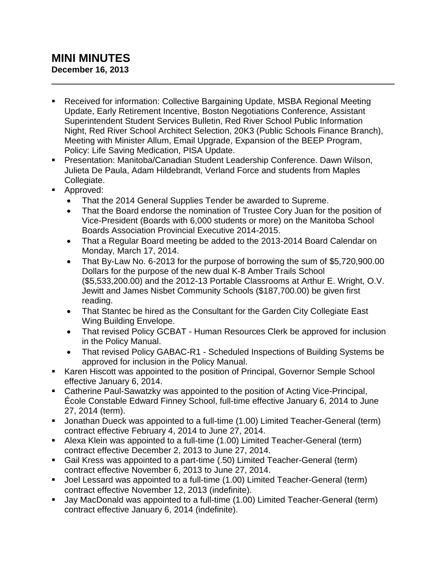## **MINI MINUTES December 16, 2013**

- Received for information: Collective Bargaining Update, MSBA Regional Meeting Update, Early Retirement Incentive, Boston Negotiations Conference, Assistant Superintendent Student Services Bulletin, Red River School Public Information Night, Red River School Architect Selection, 20K3 (Public Schools Finance Branch), Meeting with Minister Allum, Email Upgrade, Expansion of the BEEP Program, Policy: Life Saving Medication, PISA Update.
- Presentation: Manitoba/Canadian Student Leadership Conference. Dawn Wilson, Julieta De Paula, Adam Hildebrandt, Verland Force and students from Maples Collegiate.
- **Approved:** 
	- That the 2014 General Supplies Tender be awarded to Supreme.
	- That the Board endorse the nomination of Trustee Cory Juan for the position of Vice-President (Boards with 6,000 students or more) on the Manitoba School Boards Association Provincial Executive 2014-2015.
	- That a Regular Board meeting be added to the 2013-2014 Board Calendar on Monday, March 17, 2014.
	- That By-Law No. 6-2013 for the purpose of borrowing the sum of \$5,720,900.00 Dollars for the purpose of the new dual K-8 Amber Trails School (\$5,533,200.00) and the 2012-13 Portable Classrooms at Arthur E. Wright, O.V. Jewitt and James Nisbet Community Schools (\$187,700.00) be given first reading.
	- That Stantec be hired as the Consultant for the Garden City Collegiate East Wing Building Envelope.
	- That revised Policy GCBAT Human Resources Clerk be approved for inclusion in the Policy Manual.
	- That revised Policy GABAC-R1 Scheduled Inspections of Building Systems be approved for inclusion in the Policy Manual.
- Karen Hiscott was appointed to the position of Principal, Governor Semple School effective January 6, 2014.
- Catherine Paul-Sawatzky was appointed to the position of Acting Vice-Principal, École Constable Edward Finney School, full-time effective January 6, 2014 to June 27, 2014 (term).
- Jonathan Dueck was appointed to a full-time (1.00) Limited Teacher-General (term) contract effective February 4, 2014 to June 27, 2014.
- Alexa Klein was appointed to a full-time (1.00) Limited Teacher-General (term) contract effective December 2, 2013 to June 27, 2014.
- Gail Kress was appointed to a part-time (.50) Limited Teacher-General (term) contract effective November 6, 2013 to June 27, 2014.
- Joel Lessard was appointed to a full-time (1.00) Limited Teacher-General (term) contract effective November 12, 2013 (indefinite).
- Jay MacDonald was appointed to a full-time (1.00) Limited Teacher-General (term) contract effective January 6, 2014 (indefinite).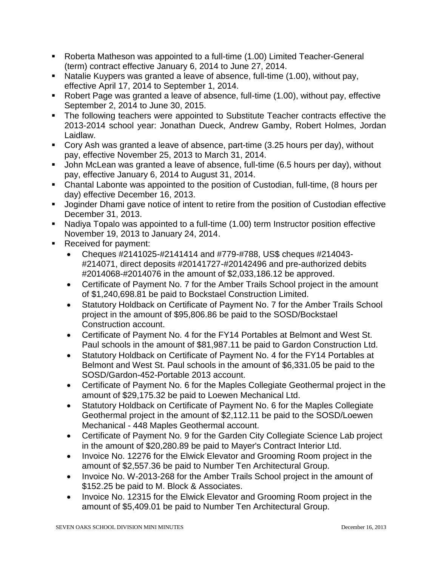- Roberta Matheson was appointed to a full-time (1.00) Limited Teacher-General (term) contract effective January 6, 2014 to June 27, 2014.
- Natalie Kuypers was granted a leave of absence, full-time (1.00), without pay, effective April 17, 2014 to September 1, 2014.
- Robert Page was granted a leave of absence, full-time (1.00), without pay, effective September 2, 2014 to June 30, 2015.
- The following teachers were appointed to Substitute Teacher contracts effective the 2013-2014 school year: Jonathan Dueck, Andrew Gamby, Robert Holmes, Jordan Laidlaw.
- Cory Ash was granted a leave of absence, part-time (3.25 hours per day), without pay, effective November 25, 2013 to March 31, 2014.
- John McLean was granted a leave of absence, full-time (6.5 hours per day), without pay, effective January 6, 2014 to August 31, 2014.
- Chantal Labonte was appointed to the position of Custodian, full-time, (8 hours per day) effective December 16, 2013.
- **Joginder Dhami gave notice of intent to retire from the position of Custodian effective** December 31, 2013.
- Nadiya Topalo was appointed to a full-time (1.00) term Instructor position effective November 19, 2013 to January 24, 2014.
- Received for payment:
	- Cheques #2141025-#2141414 and #779-#788, US\$ cheques #214043- #214071, direct deposits #20141727-#20142496 and pre-authorized debits #2014068-#2014076 in the amount of \$2,033,186.12 be approved.
	- Certificate of Payment No. 7 for the Amber Trails School project in the amount of \$1,240,698.81 be paid to Bockstael Construction Limited.
	- Statutory Holdback on Certificate of Payment No. 7 for the Amber Trails School project in the amount of \$95,806.86 be paid to the SOSD/Bockstael Construction account.
	- Certificate of Payment No. 4 for the FY14 Portables at Belmont and West St. Paul schools in the amount of \$81,987.11 be paid to Gardon Construction Ltd.
	- Statutory Holdback on Certificate of Payment No. 4 for the FY14 Portables at Belmont and West St. Paul schools in the amount of \$6,331.05 be paid to the SOSD/Gardon-452-Portable 2013 account.
	- Certificate of Payment No. 6 for the Maples Collegiate Geothermal project in the amount of \$29,175.32 be paid to Loewen Mechanical Ltd.
	- Statutory Holdback on Certificate of Payment No. 6 for the Maples Collegiate Geothermal project in the amount of \$2,112.11 be paid to the SOSD/Loewen Mechanical - 448 Maples Geothermal account.
	- Certificate of Payment No. 9 for the Garden City Collegiate Science Lab project in the amount of \$20,280.89 be paid to Mayer's Contract Interior Ltd.
	- Invoice No. 12276 for the Elwick Elevator and Grooming Room project in the amount of \$2,557.36 be paid to Number Ten Architectural Group.
	- Invoice No. W-2013-268 for the Amber Trails School project in the amount of \$152.25 be paid to M. Block & Associates.
	- Invoice No. 12315 for the Elwick Elevator and Grooming Room project in the amount of \$5,409.01 be paid to Number Ten Architectural Group.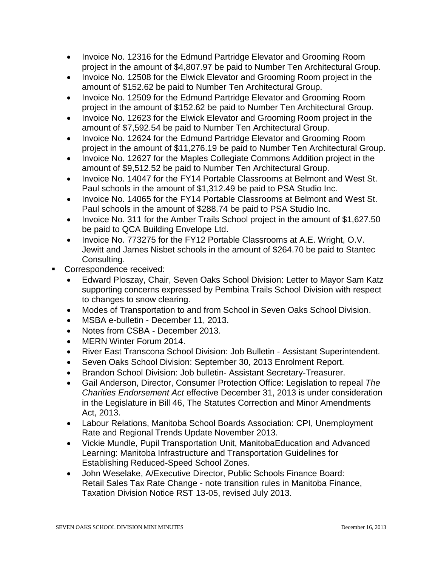- Invoice No. 12316 for the Edmund Partridge Elevator and Grooming Room project in the amount of \$4,807.97 be paid to Number Ten Architectural Group.
- Invoice No. 12508 for the Elwick Elevator and Grooming Room project in the amount of \$152.62 be paid to Number Ten Architectural Group.
- Invoice No. 12509 for the Edmund Partridge Elevator and Grooming Room project in the amount of \$152.62 be paid to Number Ten Architectural Group.
- Invoice No. 12623 for the Elwick Elevator and Grooming Room project in the amount of \$7,592.54 be paid to Number Ten Architectural Group.
- Invoice No. 12624 for the Edmund Partridge Elevator and Grooming Room project in the amount of \$11,276.19 be paid to Number Ten Architectural Group.
- Invoice No. 12627 for the Maples Collegiate Commons Addition project in the amount of \$9,512.52 be paid to Number Ten Architectural Group.
- Invoice No. 14047 for the FY14 Portable Classrooms at Belmont and West St. Paul schools in the amount of \$1,312.49 be paid to PSA Studio Inc.
- Invoice No. 14065 for the FY14 Portable Classrooms at Belmont and West St. Paul schools in the amount of \$288.74 be paid to PSA Studio Inc.
- Invoice No. 311 for the Amber Trails School project in the amount of \$1,627.50 be paid to QCA Building Envelope Ltd.
- Invoice No. 773275 for the FY12 Portable Classrooms at A.E. Wright, O.V. Jewitt and James Nisbet schools in the amount of \$264.70 be paid to Stantec Consulting.
- Correspondence received:
	- Edward Ploszay, Chair, Seven Oaks School Division: Letter to Mayor Sam Katz supporting concerns expressed by Pembina Trails School Division with respect to changes to snow clearing.
	- Modes of Transportation to and from School in Seven Oaks School Division.
	- MSBA e-bulletin December 11, 2013.
	- Notes from CSBA December 2013.
	- MERN Winter Forum 2014.
	- River East Transcona School Division: Job Bulletin Assistant Superintendent.
	- Seven Oaks School Division: September 30, 2013 Enrolment Report.
	- Brandon School Division: Job bulletin- Assistant Secretary-Treasurer.
	- Gail Anderson, Director, Consumer Protection Office: Legislation to repeal *The Charities Endorsement Act* effective December 31, 2013 is under consideration in the Legislature in Bill 46, The Statutes Correction and Minor Amendments Act, 2013.
	- Labour Relations, Manitoba School Boards Association: CPI, Unemployment Rate and Regional Trends Update November 2013.
	- Vickie Mundle, Pupil Transportation Unit, ManitobaEducation and Advanced Learning: Manitoba Infrastructure and Transportation Guidelines for Establishing Reduced-Speed School Zones.
	- John Weselake, A/Executive Director, Public Schools Finance Board: Retail Sales Tax Rate Change - note transition rules in Manitoba Finance, Taxation Division Notice RST 13-05, revised July 2013.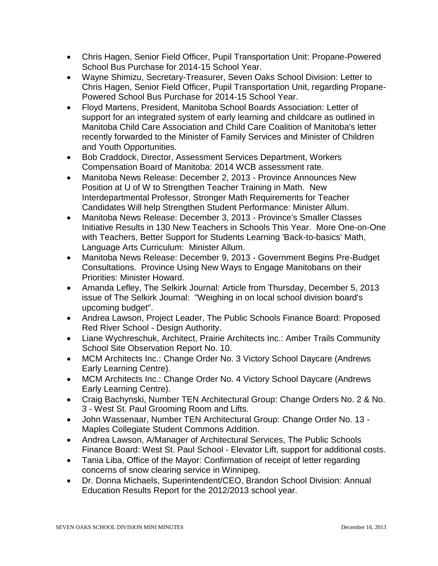- Chris Hagen, Senior Field Officer, Pupil Transportation Unit: Propane-Powered School Bus Purchase for 2014-15 School Year.
- Wayne Shimizu, Secretary-Treasurer, Seven Oaks School Division: Letter to Chris Hagen, Senior Field Officer, Pupil Transportation Unit, regarding Propane-Powered School Bus Purchase for 2014-15 School Year.
- Floyd Martens, President, Manitoba School Boards Association: Letter of support for an integrated system of early learning and childcare as outlined in Manitoba Child Care Association and Child Care Coalition of Manitoba's letter recently forwarded to the Minister of Family Services and Minister of Children and Youth Opportunities.
- Bob Craddock, Director, Assessment Services Department, Workers Compensation Board of Manitoba: 2014 WCB assessment rate.
- Manitoba News Release: December 2, 2013 Province Announces New Position at U of W to Strengthen Teacher Training in Math. New Interdepartmental Professor, Stronger Math Requirements for Teacher Candidates Will help Strengthen Student Performance: Minister Allum.
- Manitoba News Release: December 3, 2013 Province's Smaller Classes Initiative Results in 130 New Teachers in Schools This Year. More One-on-One with Teachers, Better Support for Students Learning 'Back-to-basics' Math, Language Arts Curriculum: Minister Allum.
- Manitoba News Release: December 9, 2013 Government Begins Pre-Budget Consultations. Province Using New Ways to Engage Manitobans on their Priorities: Minister Howard.
- Amanda Lefley, The Selkirk Journal: Article from Thursday, December 5, 2013 issue of The Selkirk Journal: "Weighing in on local school division board's upcoming budget".
- Andrea Lawson, Project Leader, The Public Schools Finance Board: Proposed Red River School - Design Authority.
- Liane Wychreschuk, Architect, Prairie Architects Inc.: Amber Trails Community School Site Observation Report No. 10.
- MCM Architects Inc.: Change Order No. 3 Victory School Daycare (Andrews Early Learning Centre).
- MCM Architects Inc.: Change Order No. 4 Victory School Daycare (Andrews Early Learning Centre).
- Craig Bachynski, Number TEN Architectural Group: Change Orders No. 2 & No. 3 - West St. Paul Grooming Room and Lifts.
- John Wassenaar, Number TEN Architectural Group: Change Order No. 13 Maples Collegiate Student Commons Addition.
- Andrea Lawson, A/Manager of Architectural Services, The Public Schools Finance Board: West St. Paul School - Elevator Lift, support for additional costs.
- Tania Liba, Office of the Mayor: Confirmation of receipt of letter regarding concerns of snow clearing service in Winnipeg.
- Dr. Donna Michaels, Superintendent/CEO, Brandon School Division: Annual Education Results Report for the 2012/2013 school year.